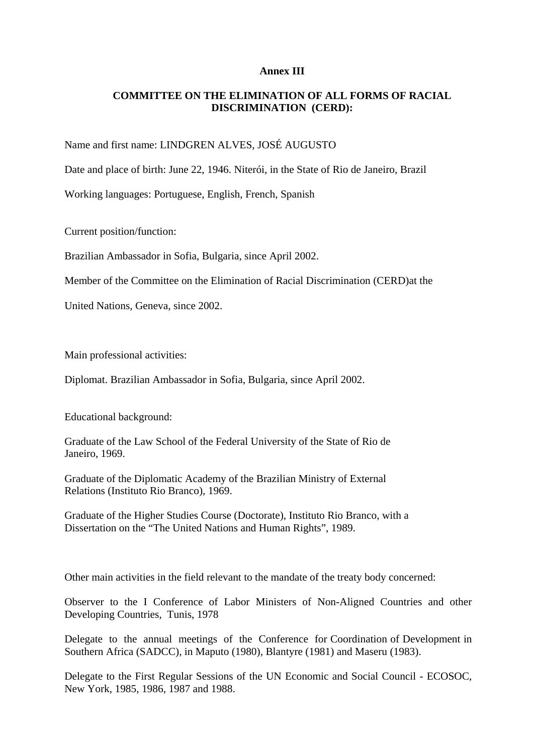## **Annex III**

## **COMMITTEE ON THE ELIMINATION OF ALL FORMS OF RACIAL DISCRIMINATION (CERD):**

Name and first name: LINDGREN ALVES, JOSÉ AUGUSTO

Date and place of birth: June 22, 1946. Niterói, in the State of Rio de Janeiro, Brazil

Working languages: Portuguese, English, French, Spanish

Current position/function:

Brazilian Ambassador in Sofia, Bulgaria, since April 2002.

Member of the Committee on the Elimination of Racial Discrimination (CERD)at the

United Nations, Geneva, since 2002.

Main professional activities:

Diplomat. Brazilian Ambassador in Sofia, Bulgaria, since April 2002.

Educational background:

Graduate of the Law School of the Federal University of the State of Rio de Janeiro, 1969.

Graduate of the Diplomatic Academy of the Brazilian Ministry of External Relations (Instituto Rio Branco), 1969.

Graduate of the Higher Studies Course (Doctorate), Instituto Rio Branco, with a Dissertation on the "The United Nations and Human Rights", 1989.

Other main activities in the field relevant to the mandate of the treaty body concerned:

Observer to the I Conference of Labor Ministers of Non-Aligned Countries and other Developing Countries, Tunis, 1978

Delegate to the annual meetings of the Conference for Coordination of Development in Southern Africa (SADCC), in Maputo (1980), Blantyre (1981) and Maseru (1983).

Delegate to the First Regular Sessions of the UN Economic and Social Council - ECOSOC, New York, 1985, 1986, 1987 and 1988.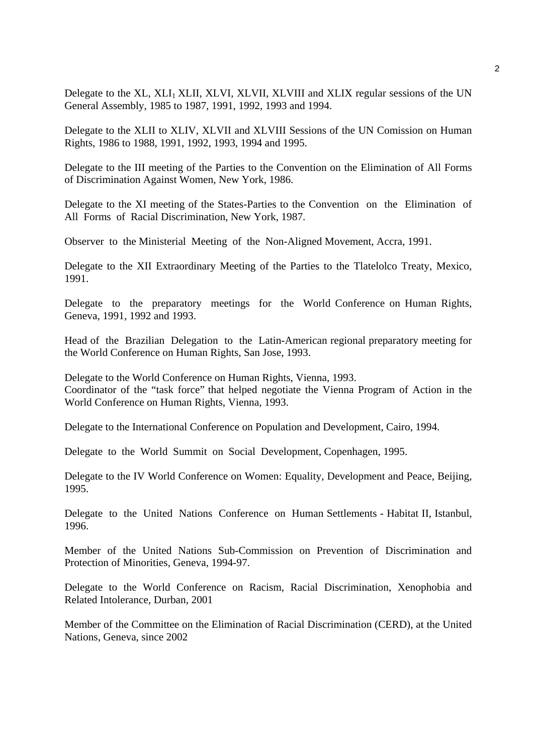Delegate to the XL, XLI<sub>1</sub> XLII, XLVI, XLVII, XLVIII and XLIX regular sessions of the UN General Assembly, 1985 to 1987, 1991, 1992, 1993 and 1994.

Delegate to the XLII to XLIV, XLVII and XLVIII Sessions of the UN Comission on Human Rights, 1986 to 1988, 1991, 1992, 1993, 1994 and 1995.

Delegate to the III meeting of the Parties to the Convention on the Elimination of All Forms of Discrimination Against Women, New York, 1986.

Delegate to the XI meeting of the States-Parties to the Convention on the Elimination of All Forms of Racial Discrimination, New York, 1987.

Observer to the Ministerial Meeting of the Non-Aligned Movement, Accra, 1991.

Delegate to the XII Extraordinary Meeting of the Parties to the Tlatelolco Treaty, Mexico, 1991.

Delegate to the preparatory meetings for the World Conference on Human Rights, Geneva, 1991, 1992 and 1993.

Head of the Brazilian Delegation to the Latin-American regional preparatory meeting for the World Conference on Human Rights, San Jose, 1993.

Delegate to the World Conference on Human Rights, Vienna, 1993. Coordinator of the "task force" that helped negotiate the Vienna Program of Action in the World Conference on Human Rights, Vienna, 1993.

Delegate to the International Conference on Population and Development, Cairo, 1994.

Delegate to the World Summit on Social Development, Copenhagen, 1995.

Delegate to the IV World Conference on Women: Equality, Development and Peace, Beijing, 1995.

Delegate to the United Nations Conference on Human Settlements - Habitat II, Istanbul, 1996.

Member of the United Nations Sub-Commission on Prevention of Discrimination and Protection of Minorities, Geneva, 1994-97.

Delegate to the World Conference on Racism, Racial Discrimination, Xenophobia and Related Intolerance, Durban, 2001

Member of the Committee on the Elimination of Racial Discrimination (CERD), at the United Nations, Geneva, since 2002